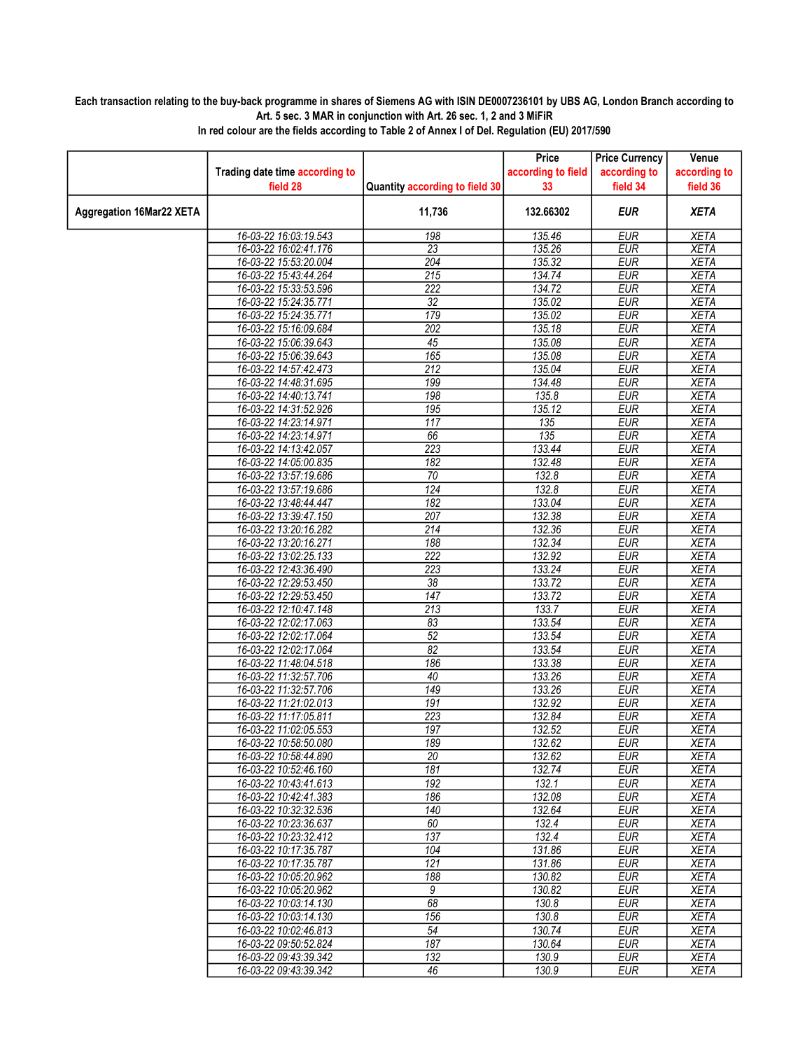## Each transaction relating to the buy-back programme in shares of Siemens AG with ISIN DE0007236101 by UBS AG, London Branch according to Art. 5 sec. 3 MAR in conjunction with Art. 26 sec. 1, 2 and 3 MiFiR

|                                 |                                                |                                | Price              | <b>Price Currency</b>    | Venue                      |
|---------------------------------|------------------------------------------------|--------------------------------|--------------------|--------------------------|----------------------------|
|                                 | Trading date time according to                 |                                | according to field | according to             | according to               |
|                                 | field 28                                       | Quantity according to field 30 | 33                 | field 34                 | field 36                   |
| <b>Aggregation 16Mar22 XETA</b> |                                                | 11,736                         | 132.66302          | <b>EUR</b>               | <b>XETA</b>                |
|                                 |                                                |                                |                    | <b>EUR</b>               | <b>XETA</b>                |
|                                 | 16-03-22 16:03:19.543<br>16-03-22 16:02:41.176 | 198<br>$\overline{23}$         | 135.46<br>135.26   | <b>EUR</b>               | <b>XETA</b>                |
|                                 | 16-03-22 15:53:20.004                          | 204                            | 135.32             | <b>EUR</b>               | <b>XETA</b>                |
|                                 | 16-03-22 15:43:44.264                          | 215                            | 134.74             | <b>EUR</b>               | <b>XETA</b>                |
|                                 | 16-03-22 15:33:53.596                          | $\overline{222}$               | 134.72             | <b>EUR</b>               | <b>XETA</b>                |
|                                 | 16-03-22 15:24:35.771                          | $\overline{32}$                | 135.02             | <b>EUR</b>               | <b>XETA</b>                |
|                                 | 16-03-22 15:24:35.771                          | 179                            | 135.02             | <b>EUR</b>               | <b>XETA</b>                |
|                                 | 16-03-22 15:16:09.684                          | 202                            | 135.18             | <b>EUR</b>               | <b>XETA</b>                |
|                                 | 16-03-22 15:06:39.643                          | 45                             | 135.08             | <b>EUR</b>               | <b>XETA</b>                |
|                                 | 16-03-22 15:06:39.643                          | 165                            | 135.08             | <b>EUR</b>               | <b>XETA</b>                |
|                                 | 16-03-22 14:57:42.473                          | $\overline{212}$               | 135.04             | <b>EUR</b>               | <b>XETA</b>                |
|                                 | 16-03-22 14:48:31.695                          | 199                            | 134.48             | <b>EUR</b>               | <b>XETA</b>                |
|                                 | 16-03-22 14:40:13.741                          | 198                            | 135.8              | <b>EUR</b>               | <b>XETA</b>                |
|                                 | 16-03-22 14:31:52.926                          | 195                            | 135.12             | <b>EUR</b>               | <b>XETA</b>                |
|                                 | 16-03-22 14:23:14.971                          | $\overline{117}$               | 135                | <b>EUR</b>               | <b>XETA</b>                |
|                                 | 16-03-22 14:23:14.971                          | 66                             | 135                | <b>EUR</b>               | <b>XETA</b>                |
|                                 | 16-03-22 14:13:42.057                          | 223                            | 133.44             | <b>EUR</b>               | <b>XETA</b>                |
|                                 | 16-03-22 14:05:00.835                          | 182                            | 132.48             | <b>EUR</b>               | <b>XETA</b>                |
|                                 | 16-03-22 13:57:19.686                          | 70                             | 132.8              | <b>EUR</b>               | <b>XETA</b>                |
|                                 | 16-03-22 13:57:19.686                          | 124                            | 132.8              | <b>EUR</b>               | <b>XETA</b>                |
|                                 | 16-03-22 13:48:44.447                          | 182                            | 133.04             | <b>EUR</b>               | <b>XETA</b>                |
|                                 | 16-03-22 13:39:47.150                          | 207                            | 132.38             | <b>EUR</b>               | <b>XETA</b>                |
|                                 | 16-03-22 13:20:16.282                          | $\overline{214}$               | 132.36             | <b>EUR</b>               | <b>XETA</b>                |
|                                 | 16-03-22 13:20:16.271                          | 188                            | 132.34             | <b>EUR</b>               | <b>XETA</b>                |
|                                 | 16-03-22 13:02:25.133                          | $\overline{222}$               | 132.92             | <b>EUR</b>               | <b>XETA</b>                |
|                                 | 16-03-22 12:43:36.490                          | $\overline{223}$               | 133.24             | <b>EUR</b>               | <b>XETA</b>                |
|                                 | 16-03-22 12:29:53.450                          | $\overline{38}$                | 133.72             | <b>EUR</b>               | <b>XETA</b>                |
|                                 | 16-03-22 12:29:53.450                          | 147                            | 133.72             | <b>EUR</b>               | <b>XETA</b>                |
|                                 | 16-03-22 12:10:47.148                          | 213                            | 133.7              | <b>EUR</b>               | <b>XETA</b>                |
|                                 | 16-03-22 12:02:17.063                          | 83                             | 133.54             | <b>EUR</b>               | <b>XETA</b>                |
|                                 | 16-03-22 12:02:17.064                          | $\overline{52}$                | 133.54             | <b>EUR</b>               | <b>XETA</b>                |
|                                 | 16-03-22 12:02:17.064                          | $\overline{82}$                | 133.54             | <b>EUR</b>               | <b>XETA</b>                |
|                                 | 16-03-22 11:48:04.518                          | 186                            | 133.38             | <b>EUR</b>               | <b>XETA</b>                |
|                                 | 16-03-22 11:32:57.706                          | $\overline{40}$                | 133.26             | <b>EUR</b>               | <b>XETA</b>                |
|                                 | 16-03-22 11:32:57.706                          | 149                            | 133.26             | <b>EUR</b>               | <b>XETA</b>                |
|                                 | 16-03-22 11:21:02.013                          | 191                            | 132.92             | <b>EUR</b>               | <b>XETA</b>                |
|                                 | 16-03-22 11:17:05.811<br>16-03-22 11:02:05.553 | 223<br>197                     | 132.84             | <b>EUR</b><br><b>EUR</b> | <b>XETA</b><br><b>XETA</b> |
|                                 | 16-03-22 10:58:50.080                          | 189                            | 132.52<br>132.62   | <b>EUR</b>               | <b>XETA</b>                |
|                                 | 16-03-22 10:58:44.890                          | 20                             | 132.62             | <b>EUR</b>               | <b>XETA</b>                |
|                                 | 16-03-22 10:52:46.160                          | 181                            | 132.74             | EUR                      | XETA                       |
|                                 | 16-03-22 10:43:41.613                          | 192                            | 132.1              | <b>EUR</b>               | <b>XETA</b>                |
|                                 | 16-03-22 10:42:41.383                          | 186                            | 132.08             | <b>EUR</b>               | <b>XETA</b>                |
|                                 | 16-03-22 10:32:32.536                          | 140                            | 132.64             | <b>EUR</b>               | <b>XETA</b>                |
|                                 | 16-03-22 10:23:36.637                          | 60                             | 132.4              | <b>EUR</b>               | <b>XETA</b>                |
|                                 | 16-03-22 10:23:32.412                          | 137                            | 132.4              | <b>EUR</b>               | <b>XETA</b>                |
|                                 | 16-03-22 10:17:35.787                          | 104                            | 131.86             | EUR                      | <b>XETA</b>                |
|                                 | 16-03-22 10:17:35.787                          | $\overline{121}$               | 131.86             | <b>EUR</b>               | <b>XETA</b>                |
|                                 | 16-03-22 10:05:20.962                          | 188                            | 130.82             | <b>EUR</b>               | <b>XETA</b>                |
|                                 | 16-03-22 10:05:20.962                          | 9                              | 130.82             | <b>EUR</b>               | <b>XETA</b>                |
|                                 | 16-03-22 10:03:14.130                          | 68                             | 130.8              | <b>EUR</b>               | <b>XETA</b>                |
|                                 | 16-03-22 10:03:14.130                          | 156                            | 130.8              | <b>EUR</b>               | <b>XETA</b>                |
|                                 | 16-03-22 10:02:46.813                          | $\overline{54}$                | 130.74             | EUR                      | <b>XETA</b>                |
|                                 | 16-03-22 09:50:52.824                          | 187                            | 130.64             | <b>EUR</b>               | <b>XETA</b>                |
|                                 | 16-03-22 09:43:39.342                          | 132                            | 130.9              | <b>EUR</b>               | <b>XETA</b>                |
|                                 | 16-03-22 09:43:39.342                          | 46                             | 130.9              | <b>EUR</b>               | <b>XETA</b>                |

In red colour are the fields according to Table 2 of Annex I of Del. Regulation (EU) 2017/590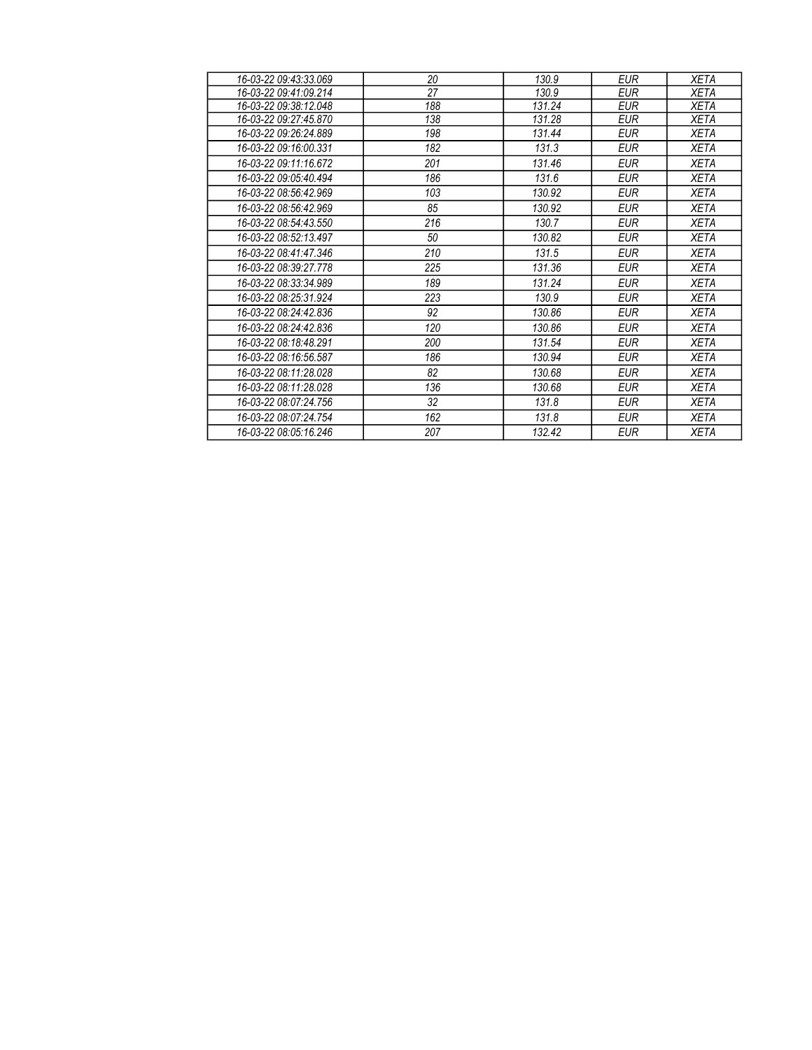| 16-03-22 09:43:33.069 | 20  | 130.9  | <b>EUR</b> | <b>XETA</b> |
|-----------------------|-----|--------|------------|-------------|
| 16-03-22 09:41:09.214 | 27  | 130.9  | <b>EUR</b> | <b>XETA</b> |
| 16-03-22 09:38:12.048 | 188 | 131.24 | <b>EUR</b> | <b>XETA</b> |
| 16-03-22 09:27:45.870 | 138 | 131.28 | <b>EUR</b> | <b>XETA</b> |
| 16-03-22 09:26:24.889 | 198 | 131.44 | <b>EUR</b> | <b>XETA</b> |
| 16-03-22 09:16:00.331 | 182 | 131.3  | <b>EUR</b> | <b>XETA</b> |
| 16-03-22 09:11:16.672 | 201 | 131.46 | <b>EUR</b> | <b>XETA</b> |
| 16-03-22 09:05:40.494 | 186 | 131.6  | <b>EUR</b> | <b>XETA</b> |
| 16-03-22 08:56:42.969 | 103 | 130.92 | <b>EUR</b> | <b>XETA</b> |
| 16-03-22 08:56:42.969 | 85  | 130.92 | <b>EUR</b> | <b>XETA</b> |
| 16-03-22 08:54:43.550 | 216 | 130.7  | <b>EUR</b> | <b>XETA</b> |
| 16-03-22 08:52:13.497 | 50  | 130.82 | <b>EUR</b> | <b>XETA</b> |
| 16-03-22 08:41:47.346 | 210 | 131.5  | <b>EUR</b> | <b>XETA</b> |
| 16-03-22 08:39:27.778 | 225 | 131.36 | <b>EUR</b> | <b>XETA</b> |
| 16-03-22 08:33:34.989 | 189 | 131.24 | <b>EUR</b> | <b>XETA</b> |
| 16-03-22 08:25:31.924 | 223 | 130.9  | <b>EUR</b> | <b>XETA</b> |
| 16-03-22 08:24:42.836 | 92  | 130.86 | EUR        | XETA        |
| 16-03-22 08:24:42.836 | 120 | 130.86 | <b>EUR</b> | XETA        |
| 16-03-22 08:18:48.291 | 200 | 131.54 | <b>EUR</b> | XETA        |
| 16-03-22 08:16:56.587 | 186 | 130.94 | <b>EUR</b> | XETA        |
| 16-03-22 08:11:28.028 | 82  | 130.68 | <b>EUR</b> | <b>XETA</b> |
| 16-03-22 08:11:28.028 | 136 | 130.68 | <b>EUR</b> | XETA        |
| 16-03-22 08:07:24.756 | 32  | 131.8  | <b>EUR</b> | <b>XETA</b> |
| 16-03-22 08:07:24.754 | 162 | 131.8  | <b>EUR</b> | XETA        |
| 16-03-22 08:05:16.246 | 207 | 132.42 | <b>EUR</b> | XETA        |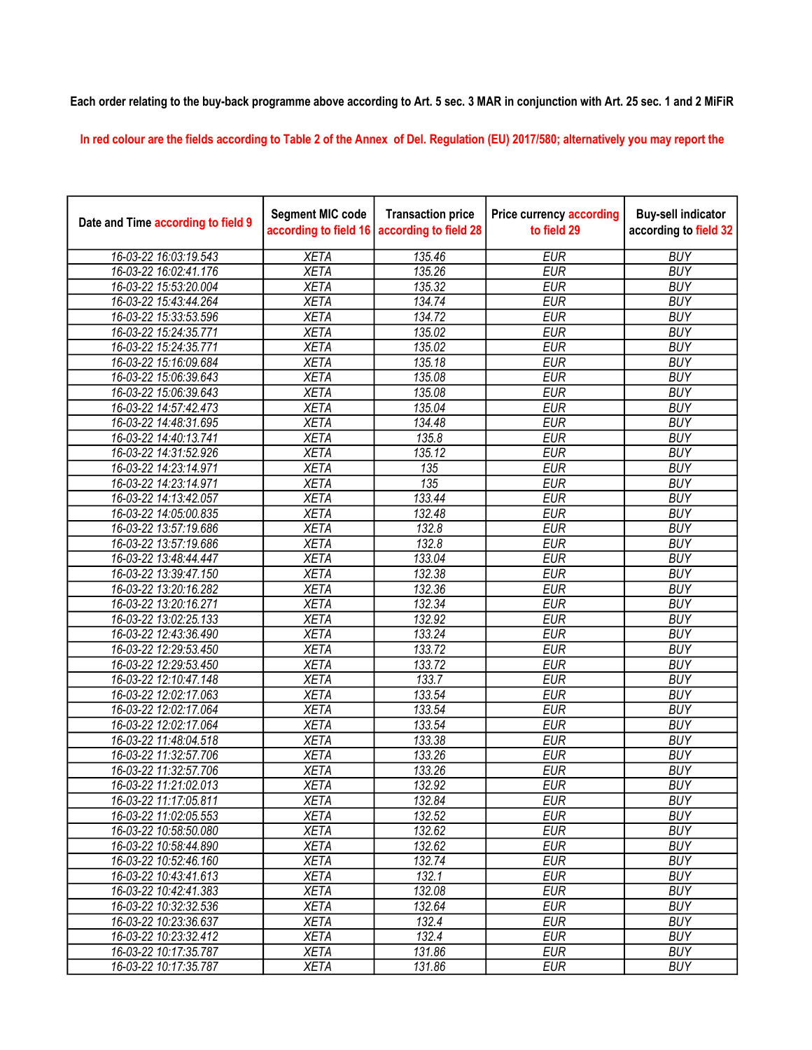## Each order relating to the buy-back programme above according to Art. 5 sec. 3 MAR in conjunction with Art. 25 sec. 1 and 2 MiFiR

In red colour are the fields according to Table 2 of the Annex of Del. Regulation (EU) 2017/580; alternatively you may report the

| Date and Time according to field 9 | <b>Segment MIC code</b><br>according to field 16 | <b>Transaction price</b><br>according to field 28 | <b>Price currency according</b><br>to field 29 | <b>Buy-sell indicator</b><br>according to field 32 |
|------------------------------------|--------------------------------------------------|---------------------------------------------------|------------------------------------------------|----------------------------------------------------|
| 16-03-22 16:03:19.543              | <b>XETA</b>                                      | 135.46                                            | <b>EUR</b>                                     | <b>BUY</b>                                         |
| 16-03-22 16:02:41.176              | <b>XETA</b>                                      | 135.26                                            | <b>EUR</b>                                     | <b>BUY</b>                                         |
| 16-03-22 15:53:20.004              | <b>XETA</b>                                      | 135.32                                            | <b>EUR</b>                                     | <b>BUY</b>                                         |
| 16-03-22 15:43:44.264              | <b>XETA</b>                                      | 134.74                                            | <b>EUR</b>                                     | <b>BUY</b>                                         |
| 16-03-22 15:33:53.596              | <b>XETA</b>                                      | 134.72                                            | <b>EUR</b>                                     | <b>BUY</b>                                         |
| 16-03-22 15:24:35.771              | <b>XETA</b>                                      | 135.02                                            | <b>EUR</b>                                     | <b>BUY</b>                                         |
| 16-03-22 15:24:35.771              | <b>XETA</b>                                      | 135.02                                            | <b>EUR</b>                                     | <b>BUY</b>                                         |
| 16-03-22 15:16:09.684              | <b>XETA</b>                                      | 135.18                                            | <b>EUR</b>                                     | <b>BUY</b>                                         |
| 16-03-22 15:06:39.643              | <b>XETA</b>                                      | 135.08                                            | <b>EUR</b>                                     | <b>BUY</b>                                         |
| 16-03-22 15:06:39.643              | <b>XETA</b>                                      | 135.08                                            | <b>EUR</b>                                     | <b>BUY</b>                                         |
| 16-03-22 14:57:42.473              | <b>XETA</b>                                      | 135.04                                            | <b>EUR</b>                                     | <b>BUY</b>                                         |
| 16-03-22 14:48:31.695              | <b>XETA</b>                                      | 134.48                                            | <b>EUR</b>                                     | <b>BUY</b>                                         |
| 16-03-22 14:40:13.741              | <b>XETA</b>                                      | 135.8                                             | <b>EUR</b>                                     | <b>BUY</b>                                         |
| 16-03-22 14:31:52.926              | <b>XETA</b>                                      | 135.12                                            | <b>EUR</b>                                     | <b>BUY</b>                                         |
| 16-03-22 14:23:14.971              | <b>XETA</b>                                      | 135                                               | <b>EUR</b>                                     | <b>BUY</b>                                         |
| 16-03-22 14:23:14.971              | <b>XETA</b>                                      | 135                                               | <b>EUR</b>                                     | <b>BUY</b>                                         |
| 16-03-22 14:13:42.057              | <b>XETA</b>                                      | 133.44                                            | <b>EUR</b>                                     | <b>BUY</b>                                         |
| 16-03-22 14:05:00.835              | <b>XETA</b>                                      | 132.48                                            | <b>EUR</b>                                     | <b>BUY</b>                                         |
| 16-03-22 13:57:19.686              | <b>XETA</b>                                      | 132.8                                             | <b>EUR</b>                                     | <b>BUY</b>                                         |
| 16-03-22 13:57:19.686              | <b>XETA</b>                                      | 132.8                                             | <b>EUR</b>                                     | <b>BUY</b>                                         |
| 16-03-22 13:48:44.447              | <b>XETA</b>                                      | 133.04                                            | <b>EUR</b>                                     | <b>BUY</b>                                         |
| 16-03-22 13:39:47.150              | <b>XETA</b>                                      | 132.38                                            | <b>EUR</b>                                     | <b>BUY</b>                                         |
| 16-03-22 13:20:16.282              | <b>XETA</b>                                      | 132.36                                            | <b>EUR</b>                                     | <b>BUY</b>                                         |
| 16-03-22 13:20:16.271              | <b>XETA</b>                                      | 132.34                                            | <b>EUR</b>                                     | <b>BUY</b>                                         |
| 16-03-22 13:02:25.133              | <b>XETA</b>                                      | 132.92                                            | <b>EUR</b>                                     | <b>BUY</b>                                         |
| 16-03-22 12:43:36.490              | <b>XETA</b>                                      | 133.24                                            | <b>EUR</b>                                     | <b>BUY</b>                                         |
| 16-03-22 12:29:53.450              | <b>XETA</b>                                      | 133.72                                            | <b>EUR</b>                                     | <b>BUY</b>                                         |
| 16-03-22 12:29:53.450              | <b>XETA</b>                                      | 133.72                                            | <b>EUR</b>                                     | <b>BUY</b>                                         |
| 16-03-22 12:10:47.148              | <b>XETA</b>                                      | 133.7                                             | <b>EUR</b>                                     | <b>BUY</b>                                         |
| 16-03-22 12:02:17.063              | <b>XETA</b>                                      | 133.54                                            | <b>EUR</b>                                     | <b>BUY</b>                                         |
| 16-03-22 12:02:17.064              | <b>XETA</b>                                      | 133.54                                            | <b>EUR</b>                                     | <b>BUY</b>                                         |
| 16-03-22 12:02:17.064              | <b>XETA</b>                                      | 133.54                                            | <b>EUR</b>                                     | <b>BUY</b>                                         |
| 16-03-22 11:48:04.518              | <b>XETA</b>                                      | 133.38                                            | <b>EUR</b>                                     | <b>BUY</b>                                         |
| 16-03-22 11:32:57.706              | <b>XETA</b>                                      | 133.26                                            | <b>EUR</b>                                     | <b>BUY</b>                                         |
| 16-03-22 11:32:57.706              | <b>XETA</b>                                      | 133.26                                            | <b>EUR</b>                                     | <b>BUY</b>                                         |
| 16-03-22 11:21:02.013              | <b>XETA</b>                                      | 132.92                                            | <b>EUR</b>                                     | <b>BUY</b>                                         |
| 16-03-22 11:17:05.811              | <b>XETA</b>                                      | 132.84                                            | <b>EUR</b>                                     | <b>BUY</b>                                         |
| 16-03-22 11:02:05.553              | <b>XETA</b>                                      | 132.52                                            | <b>EUR</b>                                     | <b>BUY</b>                                         |
| 16-03-22 10:58:50.080              | <b>XETA</b>                                      | 132.62                                            | <b>EUR</b>                                     | <b>BUY</b>                                         |
| 16-03-22 10:58:44.890              | <b>XETA</b>                                      | 132.62                                            | <b>EUR</b>                                     | <b>BUY</b>                                         |
| 16-03-22 10:52:46.160              | <b>XETA</b>                                      | 132.74                                            | <b>EUR</b>                                     | <b>BUY</b>                                         |
| 16-03-22 10:43:41.613              | <b>XETA</b>                                      | 132.1                                             | <b>EUR</b>                                     | <b>BUY</b>                                         |
| 16-03-22 10:42:41.383              | <b>XETA</b>                                      | 132.08                                            | <b>EUR</b>                                     | <b>BUY</b>                                         |
| 16-03-22 10:32:32.536              | <b>XETA</b>                                      | 132.64                                            | <b>EUR</b>                                     | <b>BUY</b>                                         |
| 16-03-22 10:23:36.637              | <b>XETA</b>                                      | 132.4                                             | <b>EUR</b>                                     | <b>BUY</b>                                         |
| 16-03-22 10:23:32.412              | <b>XETA</b>                                      | 132.4                                             | <b>EUR</b>                                     | <b>BUY</b>                                         |
| 16-03-22 10:17:35.787              | <b>XETA</b>                                      | 131.86                                            | <b>EUR</b>                                     | <b>BUY</b>                                         |
| 16-03-22 10:17:35.787              | <b>XETA</b>                                      | 131.86                                            | <b>EUR</b>                                     | <b>BUY</b>                                         |